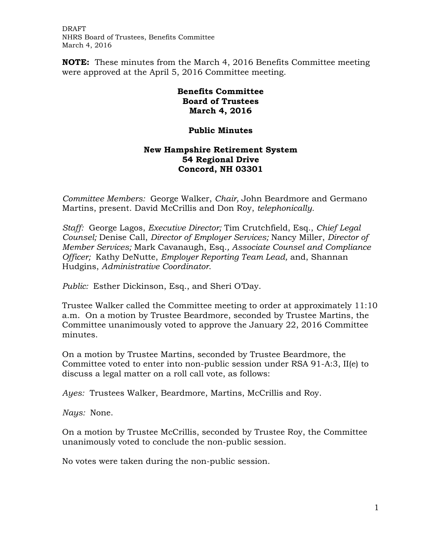DRAFT NHRS Board of Trustees, Benefits Committee March 4, 2016

**NOTE:** These minutes from the March 4, 2016 Benefits Committee meeting were approved at the April 5, 2016 Committee meeting.

## **Benefits Committee Board of Trustees March 4, 2016**

## **Public Minutes**

## **New Hampshire Retirement System 54 Regional Drive Concord, NH 03301**

*Committee Members:* George Walker, *Chair,* John Beardmore and Germano Martins, present. David McCrillis and Don Roy, *telephonically.*

*Staff:* George Lagos, *Executive Director;* Tim Crutchfield, Esq., *Chief Legal Counsel;* Denise Call, *Director of Employer Services;* Nancy Miller, *Director of Member Services;* Mark Cavanaugh, Esq.*, Associate Counsel and Compliance Officer;* Kathy DeNutte, *Employer Reporting Team Lead,* and, Shannan Hudgins, *Administrative Coordinator*.

*Public:* Esther Dickinson, Esq., and Sheri O'Day.

Trustee Walker called the Committee meeting to order at approximately 11:10 a.m. On a motion by Trustee Beardmore, seconded by Trustee Martins, the Committee unanimously voted to approve the January 22, 2016 Committee minutes.

On a motion by Trustee Martins, seconded by Trustee Beardmore, the Committee voted to enter into non-public session under RSA 91-A:3, II(e) to discuss a legal matter on a roll call vote, as follows:

*Ayes:* Trustees Walker, Beardmore, Martins, McCrillis and Roy.

*Nays:* None.

On a motion by Trustee McCrillis, seconded by Trustee Roy, the Committee unanimously voted to conclude the non-public session.

No votes were taken during the non-public session.